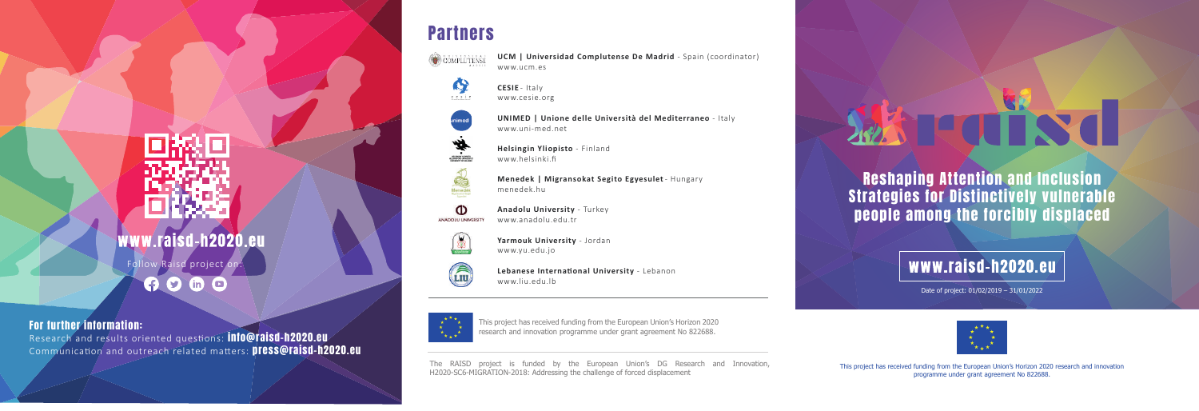Reshaping Attention and Inclusion Strategies for Distinctively vulnerable people among the forcibly displaced

### www.raisd-h2020.eu

The RAISD project is funded by the European Union's DG Research and Innovation, H2020-SC6-MIGRATION-2018: Addressing the challenge of forced displacement

#### www.raisd-h2020.eu

This project has received funding from the European Union's Horizon 2020 research and innovation programme under grant agreement No 822688.

Date of project: 01/02/2019 – 31/01/2022



For further information:

Research and results oriented questions: **info@raisd-h2020.eu** Communication and outreach related matters: **press@raisd-h2020.eu** 

# **TECTT**

This project has received funding from the European Union's Horizon 2020 research and innovation programme under grant agreement No 822688.

Follow Raisd project on:

 $9000$ 

#### **Partners**



**UCM | Universidad Complutense De Madrid** - Spain (coordinator) www.ucm.es



**CESIE** - Italy www.cesie.org



**UNIMED | Unione delle Università del Mediterraneo** - Italy www.uni-med.net



Menedék

**Helsingin Yliopisto** - Finland www.helsinki.fi

**Menedek | Migransokat Segito Egyesulet** - Hungary menedek.hu



**Anadolu University** - Turkey www.anadolu.edu.tr



**Yarmouk University** - Jordan www.yu.edu.jo



**Lebanese International University** - Lebanon www.liu.edu.lb